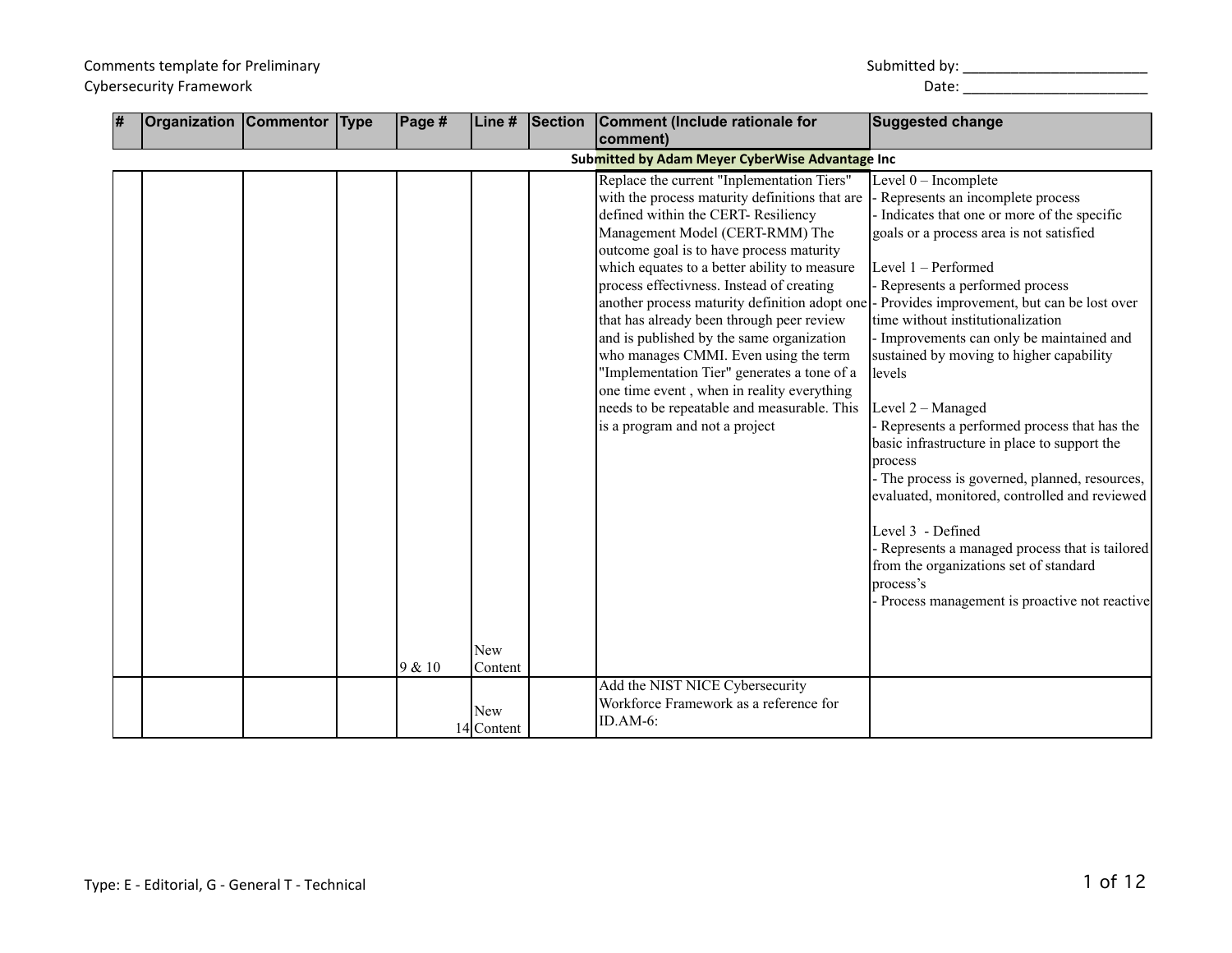# Comments template for Preliminary North Comments template for Preliminary Submitted by: \_\_\_\_\_\_\_\_\_\_\_\_\_\_\_\_\_\_\_\_\_\_\_\_\_\_\_\_\_

### Cybersecurity Framework and the control of the control of the control of the control of the control of the control of the control of the control of the control of the control of the control of the control of the control of

| l# | Organization | <b>Commentor</b> | <b>Type</b> | Page # | Line #         | Section | Comment (Include rationale for<br> comment)                                                                                                                                                                                                                                                                                                                                                                                                                                                                                                                                                                                                                                      | <b>Suggested change</b>                                                                                                                                                                                                                                                                                                                                                                                                                                                                                                                                                                                                                                                                                                                                                                                                |
|----|--------------|------------------|-------------|--------|----------------|---------|----------------------------------------------------------------------------------------------------------------------------------------------------------------------------------------------------------------------------------------------------------------------------------------------------------------------------------------------------------------------------------------------------------------------------------------------------------------------------------------------------------------------------------------------------------------------------------------------------------------------------------------------------------------------------------|------------------------------------------------------------------------------------------------------------------------------------------------------------------------------------------------------------------------------------------------------------------------------------------------------------------------------------------------------------------------------------------------------------------------------------------------------------------------------------------------------------------------------------------------------------------------------------------------------------------------------------------------------------------------------------------------------------------------------------------------------------------------------------------------------------------------|
|    |              |                  |             |        |                |         | Submitted by Adam Meyer CyberWise Advantage Inc                                                                                                                                                                                                                                                                                                                                                                                                                                                                                                                                                                                                                                  |                                                                                                                                                                                                                                                                                                                                                                                                                                                                                                                                                                                                                                                                                                                                                                                                                        |
|    |              |                  |             | 9 & 10 | New<br>Content |         | Replace the current "Inplementation Tiers"<br>with the process maturity definitions that are<br>defined within the CERT-Resiliency<br>Management Model (CERT-RMM) The<br>outcome goal is to have process maturity<br>which equates to a better ability to measure<br>process effectivness. Instead of creating<br>another process maturity definition adopt one<br>that has already been through peer review<br>and is published by the same organization<br>who manages CMMI. Even using the term<br>"Implementation Tier" generates a tone of a<br>one time event, when in reality everything<br>needs to be repeatable and measurable. This<br>is a program and not a project | Level 0 - Incomplete<br>- Represents an incomplete process<br>Indicates that one or more of the specific<br>goals or a process area is not satisfied<br>Level 1 - Performed<br>Represents a performed process<br>- Provides improvement, but can be lost over<br>time without institutionalization<br>- Improvements can only be maintained and<br>sustained by moving to higher capability<br>levels<br>Level 2 - Managed<br>Represents a performed process that has the<br>basic infrastructure in place to support the<br>process<br>- The process is governed, planned, resources,<br>evaluated, monitored, controlled and reviewed<br>Level 3 - Defined<br>- Represents a managed process that is tailored<br>from the organizations set of standard<br>process's<br>Process management is proactive not reactive |
|    |              |                  |             |        | New            |         | Add the NIST NICE Cybersecurity<br>Workforce Framework as a reference for                                                                                                                                                                                                                                                                                                                                                                                                                                                                                                                                                                                                        |                                                                                                                                                                                                                                                                                                                                                                                                                                                                                                                                                                                                                                                                                                                                                                                                                        |
|    |              |                  |             |        | 14 Content     |         | ID.AM-6:                                                                                                                                                                                                                                                                                                                                                                                                                                                                                                                                                                                                                                                                         |                                                                                                                                                                                                                                                                                                                                                                                                                                                                                                                                                                                                                                                                                                                                                                                                                        |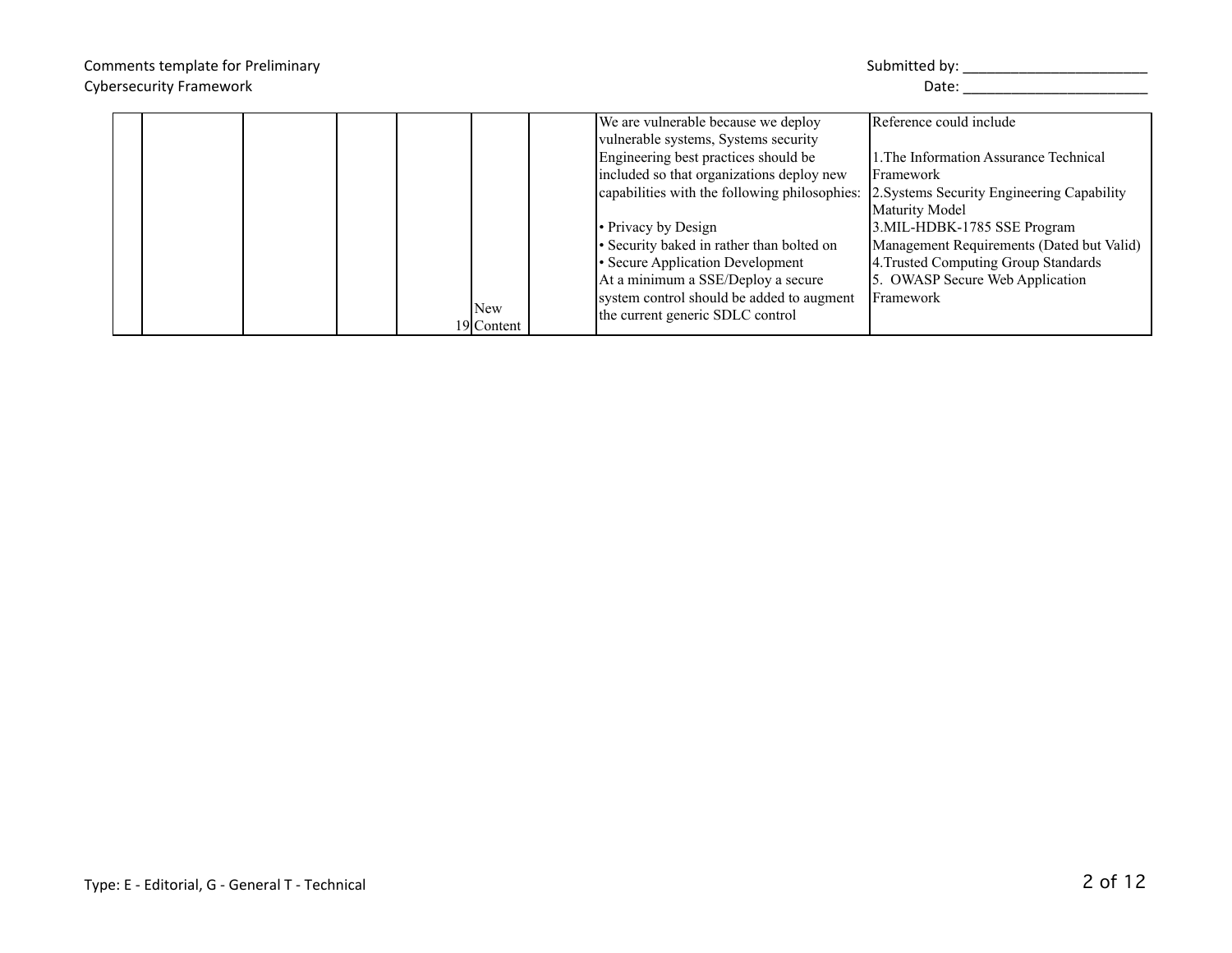| Comments template for Preliminary | Submitted by: |
|-----------------------------------|---------------|
| <b>Cybersecurity Framework</b>    | Date          |

| Submitted by: |  |  |
|---------------|--|--|
|---------------|--|--|

|  |  |            | We are vulnerable because we deploy           | Reference could include                    |
|--|--|------------|-----------------------------------------------|--------------------------------------------|
|  |  |            | vulnerable systems, Systems security          |                                            |
|  |  |            | Engineering best practices should be          | 1. The Information Assurance Technical     |
|  |  |            | included so that organizations deploy new     | l Framework                                |
|  |  |            | capabilities with the following philosophies: | 2. Systems Security Engineering Capability |
|  |  |            |                                               | Maturity Model                             |
|  |  |            | • Privacy by Design                           | 3.MIL-HDBK-1785 SSE Program                |
|  |  |            | • Security baked in rather than bolted on     | Management Requirements (Dated but Valid)  |
|  |  |            | Secure Application Development                | 4. Trusted Computing Group Standards       |
|  |  |            | At a minimum a SSE/Deploy a secure            | 5. OWASP Secure Web Application            |
|  |  |            | system control should be added to augment     | Framework                                  |
|  |  | New        | the current generic SDLC control              |                                            |
|  |  | 19 Content |                                               |                                            |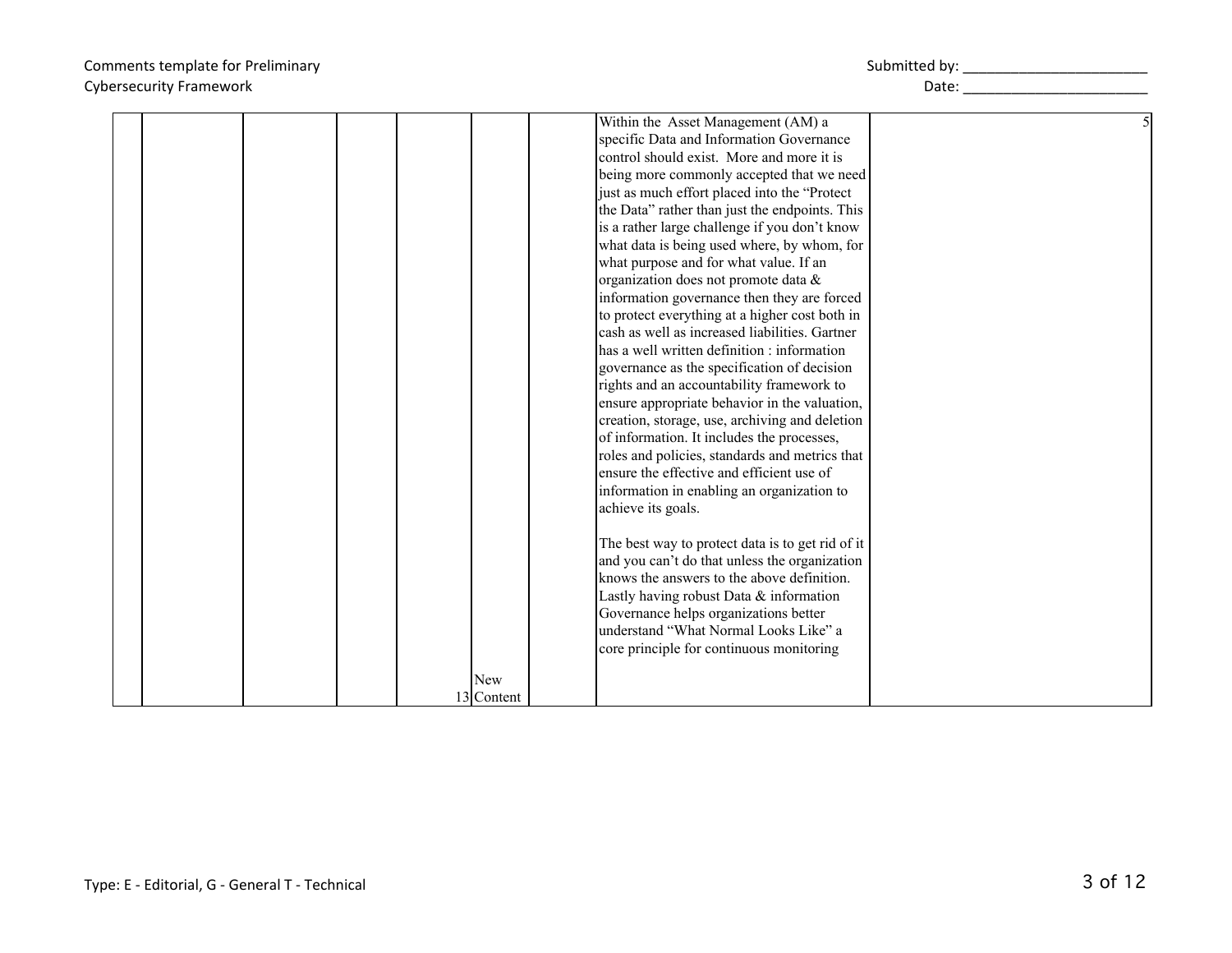### Comments template for Preliminary North Comments template for Preliminary Submitted by: \_\_\_\_\_\_\_\_\_\_\_\_\_\_\_\_\_\_\_\_\_\_\_\_\_\_\_\_\_ Cybersecurity Framework and the control of the control of the control of the control of the control of the control of the control of the control of the control of the control of the control of the control of the control of

|  |  |            | Within the Asset Management (AM) a               |  |
|--|--|------------|--------------------------------------------------|--|
|  |  |            | specific Data and Information Governance         |  |
|  |  |            | control should exist. More and more it is        |  |
|  |  |            | being more commonly accepted that we need        |  |
|  |  |            | just as much effort placed into the "Protect     |  |
|  |  |            | the Data" rather than just the endpoints. This   |  |
|  |  |            | is a rather large challenge if you don't know    |  |
|  |  |            | what data is being used where, by whom, for      |  |
|  |  |            | what purpose and for what value. If an           |  |
|  |  |            | organization does not promote data &             |  |
|  |  |            | information governance then they are forced      |  |
|  |  |            | to protect everything at a higher cost both in   |  |
|  |  |            | cash as well as increased liabilities. Gartner   |  |
|  |  |            | has a well written definition : information      |  |
|  |  |            | governance as the specification of decision      |  |
|  |  |            | rights and an accountability framework to        |  |
|  |  |            | ensure appropriate behavior in the valuation,    |  |
|  |  |            | creation, storage, use, archiving and deletion   |  |
|  |  |            | of information. It includes the processes,       |  |
|  |  |            | roles and policies, standards and metrics that   |  |
|  |  |            | ensure the effective and efficient use of        |  |
|  |  |            | information in enabling an organization to       |  |
|  |  |            | achieve its goals.                               |  |
|  |  |            |                                                  |  |
|  |  |            | The best way to protect data is to get rid of it |  |
|  |  |            | and you can't do that unless the organization    |  |
|  |  |            | knows the answers to the above definition.       |  |
|  |  |            | Lastly having robust Data & information          |  |
|  |  |            | Governance helps organizations better            |  |
|  |  |            | understand "What Normal Looks Like" a            |  |
|  |  |            | core principle for continuous monitoring         |  |
|  |  |            |                                                  |  |
|  |  | New        |                                                  |  |
|  |  | 13 Content |                                                  |  |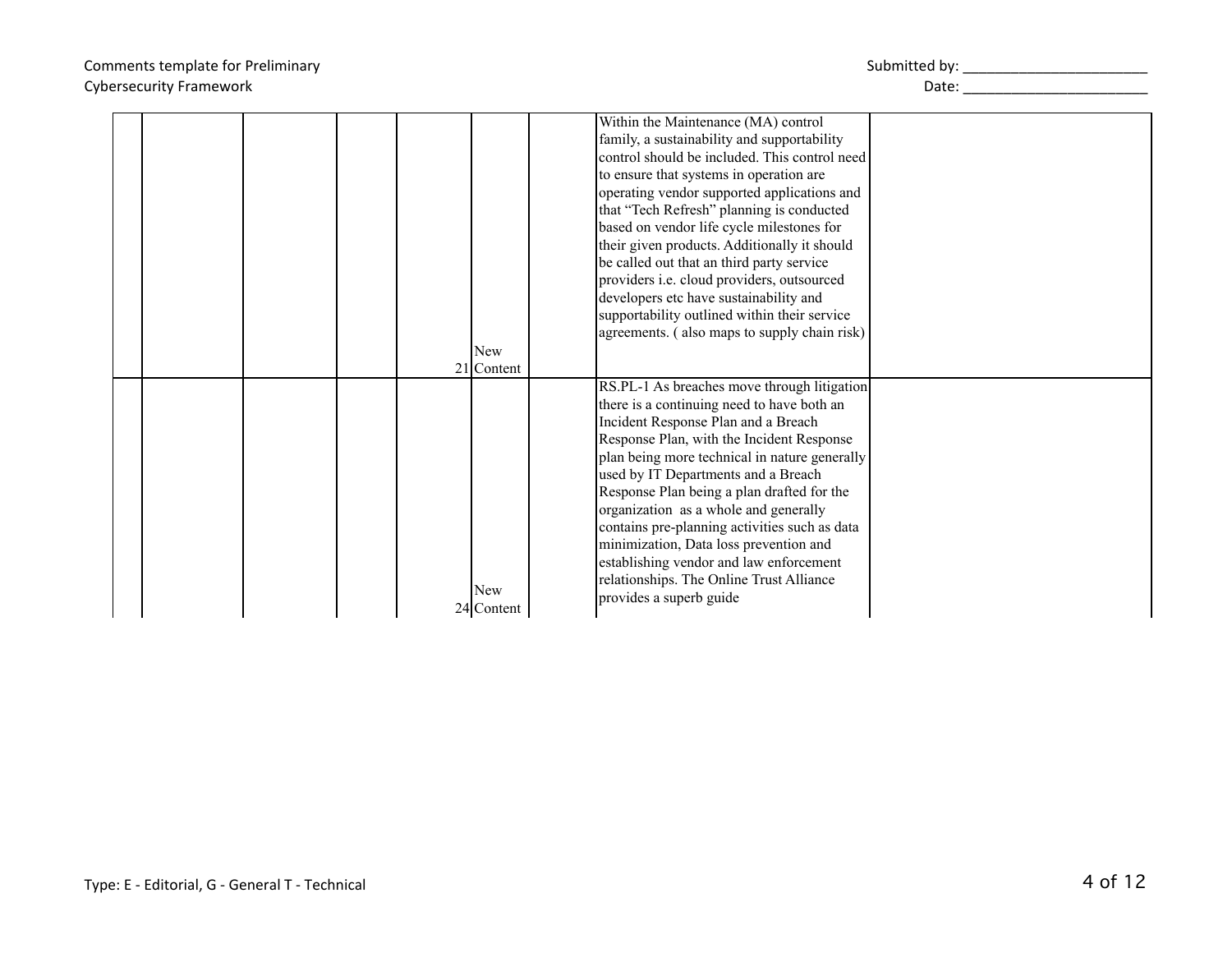# Type: E - Editorial, G - General T - Technical

| Comments template for Preliminary | Submitted by: |
|-----------------------------------|---------------|
| <b>Cybersecurity Framework</b>    | Date          |

| Submitted by: |  |
|---------------|--|
|               |  |
|               |  |

|  |  |               | Within the Maintenance (MA) control           |
|--|--|---------------|-----------------------------------------------|
|  |  |               | family, a sustainability and supportability   |
|  |  |               | control should be included. This control need |
|  |  |               | to ensure that systems in operation are       |
|  |  |               | operating vendor supported applications and   |
|  |  |               | that "Tech Refresh" planning is conducted     |
|  |  |               | based on vendor life cycle milestones for     |
|  |  |               | their given products. Additionally it should  |
|  |  |               | be called out that an third party service     |
|  |  |               | providers i.e. cloud providers, outsourced    |
|  |  |               | developers etc have sustainability and        |
|  |  |               | supportability outlined within their service  |
|  |  |               | agreements. (also maps to supply chain risk)  |
|  |  | <b>New</b>    |                                               |
|  |  | $21$  Content |                                               |
|  |  |               | RS.PL-1 As breaches move through litigation   |
|  |  |               | there is a continuing need to have both an    |
|  |  |               | Incident Response Plan and a Breach           |
|  |  |               | Response Plan, with the Incident Response     |
|  |  |               | plan being more technical in nature generally |
|  |  |               | used by IT Departments and a Breach           |
|  |  |               | Response Plan being a plan drafted for the    |
|  |  |               | organization as a whole and generally         |
|  |  |               | contains pre-planning activities such as data |
|  |  |               | minimization, Data loss prevention and        |
|  |  |               | establishing vendor and law enforcement       |
|  |  |               | relationships. The Online Trust Alliance      |
|  |  | New           | provides a superb guide                       |
|  |  | 24 Content    |                                               |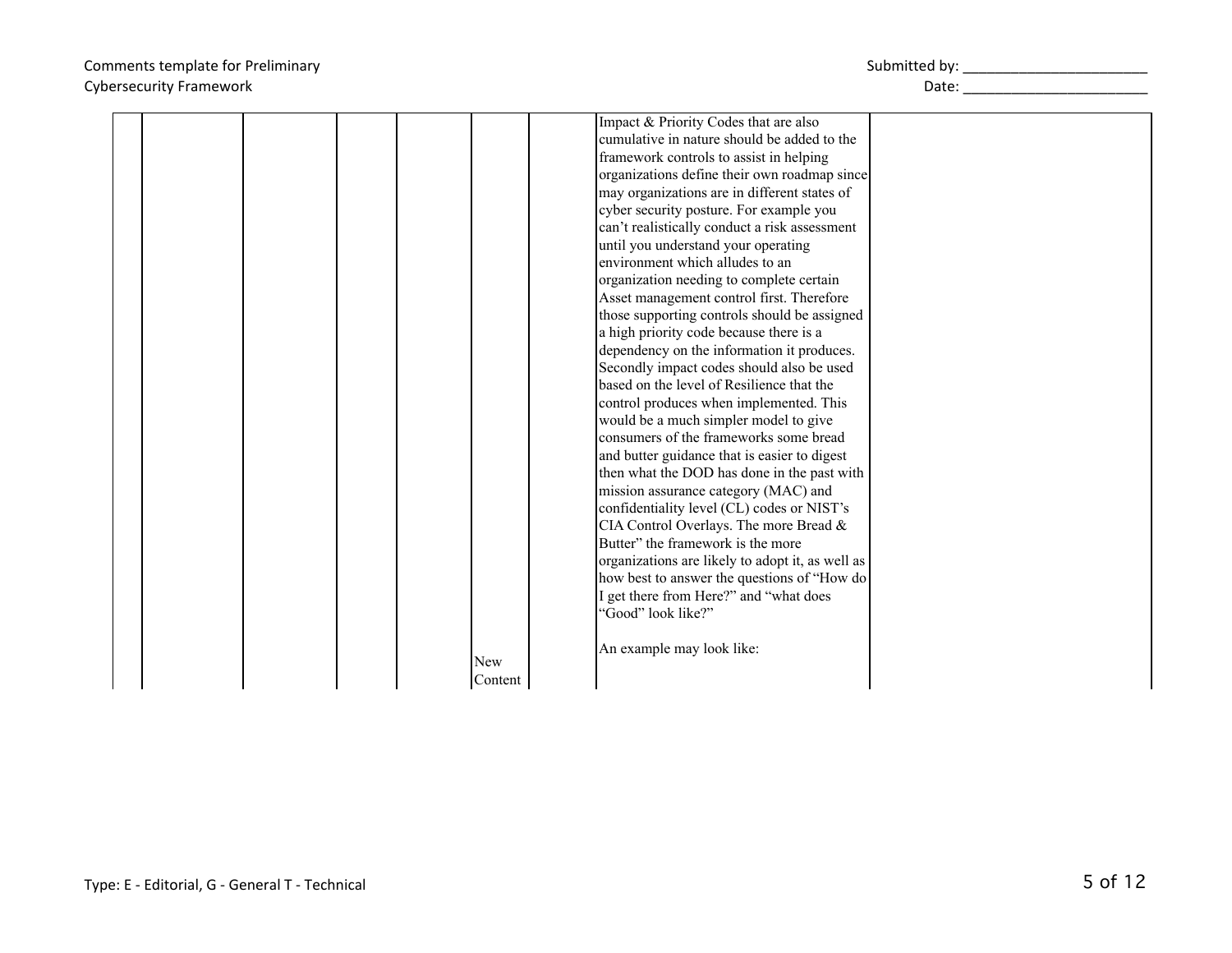### Comments template for Preliminary North Comments template for Preliminary Submitted by: \_\_\_\_\_\_\_\_\_\_\_\_\_\_\_\_\_\_\_\_\_\_\_\_\_\_\_\_\_ Cybersecurity Framework and the control of the control of the control of the control of the control of the control of the control of the control of the control of the control of the control of the control of the control of

| Impact & Priority Codes that are also<br>cumulative in nature should be added to the<br>framework controls to assist in helping<br>organizations define their own roadmap since<br>may organizations are in different states of<br>cyber security posture. For example you<br>can't realistically conduct a risk assessment<br>until you understand your operating<br>environment which alludes to an<br>organization needing to complete certain<br>Asset management control first. Therefore<br>those supporting controls should be assigned<br>a high priority code because there is a<br>dependency on the information it produces.<br>Secondly impact codes should also be used<br>based on the level of Resilience that the<br>control produces when implemented. This<br>would be a much simpler model to give<br>consumers of the frameworks some bread<br>and butter guidance that is easier to digest<br>then what the DOD has done in the past with<br>mission assurance category (MAC) and<br>confidentiality level (CL) codes or NIST's<br>CIA Control Overlays. The more Bread &<br>Butter" the framework is the more<br>organizations are likely to adopt it, as well as<br>how best to answer the questions of "How do<br>I get there from Here?" and "what does<br>"Good" look like?"<br>An example may look like:<br><b>New</b><br>Content |  |  |  |  |  |
|--------------------------------------------------------------------------------------------------------------------------------------------------------------------------------------------------------------------------------------------------------------------------------------------------------------------------------------------------------------------------------------------------------------------------------------------------------------------------------------------------------------------------------------------------------------------------------------------------------------------------------------------------------------------------------------------------------------------------------------------------------------------------------------------------------------------------------------------------------------------------------------------------------------------------------------------------------------------------------------------------------------------------------------------------------------------------------------------------------------------------------------------------------------------------------------------------------------------------------------------------------------------------------------------------------------------------------------------------------------|--|--|--|--|--|
|                                                                                                                                                                                                                                                                                                                                                                                                                                                                                                                                                                                                                                                                                                                                                                                                                                                                                                                                                                                                                                                                                                                                                                                                                                                                                                                                                              |  |  |  |  |  |
|                                                                                                                                                                                                                                                                                                                                                                                                                                                                                                                                                                                                                                                                                                                                                                                                                                                                                                                                                                                                                                                                                                                                                                                                                                                                                                                                                              |  |  |  |  |  |
|                                                                                                                                                                                                                                                                                                                                                                                                                                                                                                                                                                                                                                                                                                                                                                                                                                                                                                                                                                                                                                                                                                                                                                                                                                                                                                                                                              |  |  |  |  |  |
|                                                                                                                                                                                                                                                                                                                                                                                                                                                                                                                                                                                                                                                                                                                                                                                                                                                                                                                                                                                                                                                                                                                                                                                                                                                                                                                                                              |  |  |  |  |  |
|                                                                                                                                                                                                                                                                                                                                                                                                                                                                                                                                                                                                                                                                                                                                                                                                                                                                                                                                                                                                                                                                                                                                                                                                                                                                                                                                                              |  |  |  |  |  |
|                                                                                                                                                                                                                                                                                                                                                                                                                                                                                                                                                                                                                                                                                                                                                                                                                                                                                                                                                                                                                                                                                                                                                                                                                                                                                                                                                              |  |  |  |  |  |
|                                                                                                                                                                                                                                                                                                                                                                                                                                                                                                                                                                                                                                                                                                                                                                                                                                                                                                                                                                                                                                                                                                                                                                                                                                                                                                                                                              |  |  |  |  |  |
|                                                                                                                                                                                                                                                                                                                                                                                                                                                                                                                                                                                                                                                                                                                                                                                                                                                                                                                                                                                                                                                                                                                                                                                                                                                                                                                                                              |  |  |  |  |  |
|                                                                                                                                                                                                                                                                                                                                                                                                                                                                                                                                                                                                                                                                                                                                                                                                                                                                                                                                                                                                                                                                                                                                                                                                                                                                                                                                                              |  |  |  |  |  |
|                                                                                                                                                                                                                                                                                                                                                                                                                                                                                                                                                                                                                                                                                                                                                                                                                                                                                                                                                                                                                                                                                                                                                                                                                                                                                                                                                              |  |  |  |  |  |
|                                                                                                                                                                                                                                                                                                                                                                                                                                                                                                                                                                                                                                                                                                                                                                                                                                                                                                                                                                                                                                                                                                                                                                                                                                                                                                                                                              |  |  |  |  |  |
|                                                                                                                                                                                                                                                                                                                                                                                                                                                                                                                                                                                                                                                                                                                                                                                                                                                                                                                                                                                                                                                                                                                                                                                                                                                                                                                                                              |  |  |  |  |  |
|                                                                                                                                                                                                                                                                                                                                                                                                                                                                                                                                                                                                                                                                                                                                                                                                                                                                                                                                                                                                                                                                                                                                                                                                                                                                                                                                                              |  |  |  |  |  |
|                                                                                                                                                                                                                                                                                                                                                                                                                                                                                                                                                                                                                                                                                                                                                                                                                                                                                                                                                                                                                                                                                                                                                                                                                                                                                                                                                              |  |  |  |  |  |
|                                                                                                                                                                                                                                                                                                                                                                                                                                                                                                                                                                                                                                                                                                                                                                                                                                                                                                                                                                                                                                                                                                                                                                                                                                                                                                                                                              |  |  |  |  |  |
|                                                                                                                                                                                                                                                                                                                                                                                                                                                                                                                                                                                                                                                                                                                                                                                                                                                                                                                                                                                                                                                                                                                                                                                                                                                                                                                                                              |  |  |  |  |  |
|                                                                                                                                                                                                                                                                                                                                                                                                                                                                                                                                                                                                                                                                                                                                                                                                                                                                                                                                                                                                                                                                                                                                                                                                                                                                                                                                                              |  |  |  |  |  |
|                                                                                                                                                                                                                                                                                                                                                                                                                                                                                                                                                                                                                                                                                                                                                                                                                                                                                                                                                                                                                                                                                                                                                                                                                                                                                                                                                              |  |  |  |  |  |
|                                                                                                                                                                                                                                                                                                                                                                                                                                                                                                                                                                                                                                                                                                                                                                                                                                                                                                                                                                                                                                                                                                                                                                                                                                                                                                                                                              |  |  |  |  |  |
|                                                                                                                                                                                                                                                                                                                                                                                                                                                                                                                                                                                                                                                                                                                                                                                                                                                                                                                                                                                                                                                                                                                                                                                                                                                                                                                                                              |  |  |  |  |  |
|                                                                                                                                                                                                                                                                                                                                                                                                                                                                                                                                                                                                                                                                                                                                                                                                                                                                                                                                                                                                                                                                                                                                                                                                                                                                                                                                                              |  |  |  |  |  |
|                                                                                                                                                                                                                                                                                                                                                                                                                                                                                                                                                                                                                                                                                                                                                                                                                                                                                                                                                                                                                                                                                                                                                                                                                                                                                                                                                              |  |  |  |  |  |
|                                                                                                                                                                                                                                                                                                                                                                                                                                                                                                                                                                                                                                                                                                                                                                                                                                                                                                                                                                                                                                                                                                                                                                                                                                                                                                                                                              |  |  |  |  |  |
|                                                                                                                                                                                                                                                                                                                                                                                                                                                                                                                                                                                                                                                                                                                                                                                                                                                                                                                                                                                                                                                                                                                                                                                                                                                                                                                                                              |  |  |  |  |  |
|                                                                                                                                                                                                                                                                                                                                                                                                                                                                                                                                                                                                                                                                                                                                                                                                                                                                                                                                                                                                                                                                                                                                                                                                                                                                                                                                                              |  |  |  |  |  |
|                                                                                                                                                                                                                                                                                                                                                                                                                                                                                                                                                                                                                                                                                                                                                                                                                                                                                                                                                                                                                                                                                                                                                                                                                                                                                                                                                              |  |  |  |  |  |
|                                                                                                                                                                                                                                                                                                                                                                                                                                                                                                                                                                                                                                                                                                                                                                                                                                                                                                                                                                                                                                                                                                                                                                                                                                                                                                                                                              |  |  |  |  |  |
|                                                                                                                                                                                                                                                                                                                                                                                                                                                                                                                                                                                                                                                                                                                                                                                                                                                                                                                                                                                                                                                                                                                                                                                                                                                                                                                                                              |  |  |  |  |  |
|                                                                                                                                                                                                                                                                                                                                                                                                                                                                                                                                                                                                                                                                                                                                                                                                                                                                                                                                                                                                                                                                                                                                                                                                                                                                                                                                                              |  |  |  |  |  |
|                                                                                                                                                                                                                                                                                                                                                                                                                                                                                                                                                                                                                                                                                                                                                                                                                                                                                                                                                                                                                                                                                                                                                                                                                                                                                                                                                              |  |  |  |  |  |
|                                                                                                                                                                                                                                                                                                                                                                                                                                                                                                                                                                                                                                                                                                                                                                                                                                                                                                                                                                                                                                                                                                                                                                                                                                                                                                                                                              |  |  |  |  |  |
|                                                                                                                                                                                                                                                                                                                                                                                                                                                                                                                                                                                                                                                                                                                                                                                                                                                                                                                                                                                                                                                                                                                                                                                                                                                                                                                                                              |  |  |  |  |  |
|                                                                                                                                                                                                                                                                                                                                                                                                                                                                                                                                                                                                                                                                                                                                                                                                                                                                                                                                                                                                                                                                                                                                                                                                                                                                                                                                                              |  |  |  |  |  |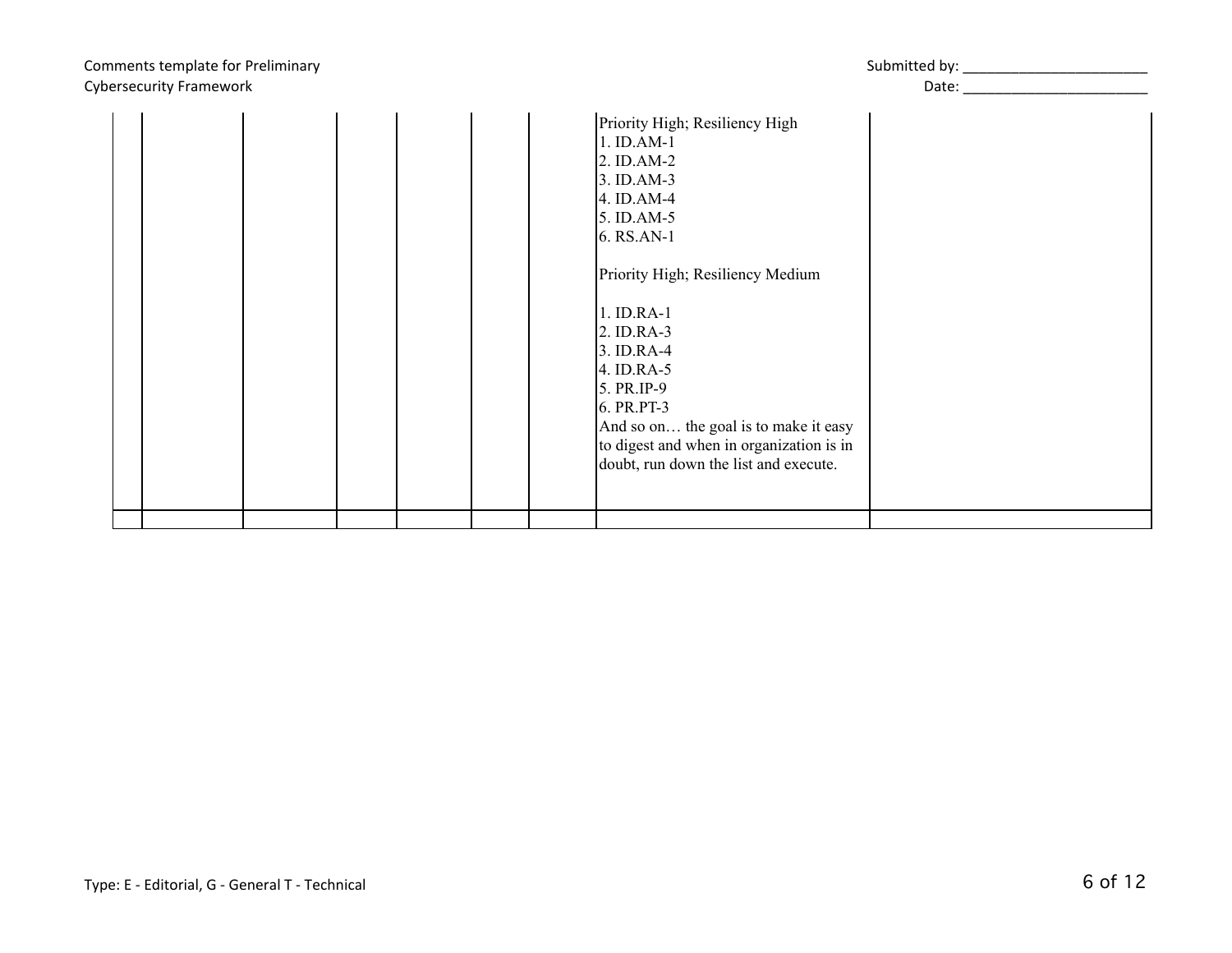### Comments template for Preliminary Cybersecurity Framework and the control of the control of the control of the control of the control of the control of the control of the control of the control of the control of the control of the control of the control of

|  | Submitted by |  |
|--|--------------|--|
|  |              |  |

|  |  |  |  |  | Priority High; Resiliency High<br>1. ID.AM-1<br>$2.$ ID.AM-2<br>$3. ID.AM-3$<br>$4.$ ID.AM-4<br>$5.$ ID.AM-5<br>6. RS.AN-1<br>Priority High; Resiliency Medium<br>1. ID.RA-1<br>$2. ID.RA-3$<br>$3. ID.RA-4$<br>$4. ID.RA-5$<br>$5. PR/IP-9$<br>$6. PR.PT-3$<br>And so on the goal is to make it easy<br>to digest and when in organization is in<br>doubt, run down the list and execute. |
|--|--|--|--|--|--------------------------------------------------------------------------------------------------------------------------------------------------------------------------------------------------------------------------------------------------------------------------------------------------------------------------------------------------------------------------------------------|
|--|--|--|--|--|--------------------------------------------------------------------------------------------------------------------------------------------------------------------------------------------------------------------------------------------------------------------------------------------------------------------------------------------------------------------------------------------|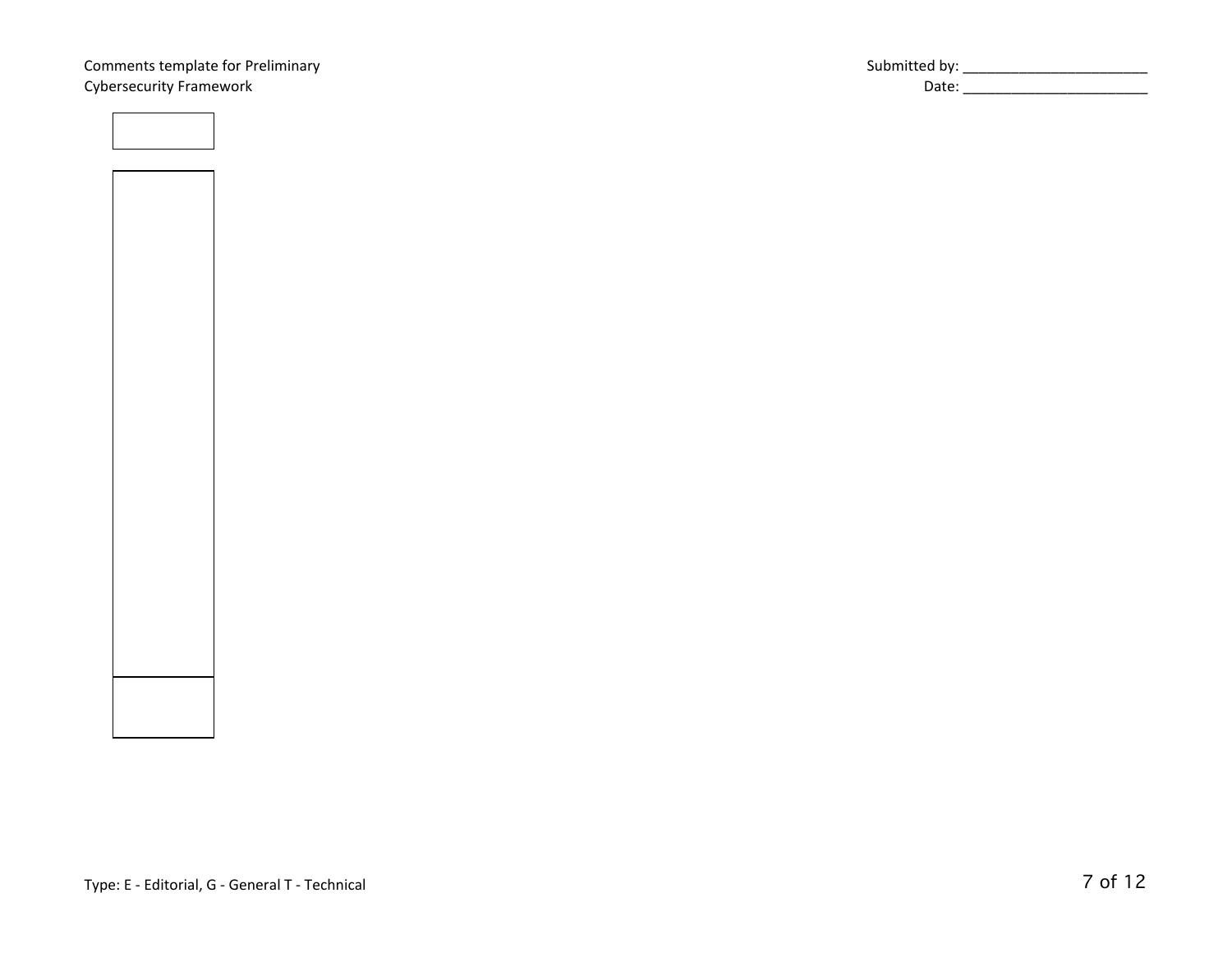Comments template for Preliminary Submitted by: \_\_\_\_\_\_\_\_\_\_\_\_\_\_\_\_\_\_\_\_\_\_\_

| Submitted by: |  |
|---------------|--|
| Date:         |  |

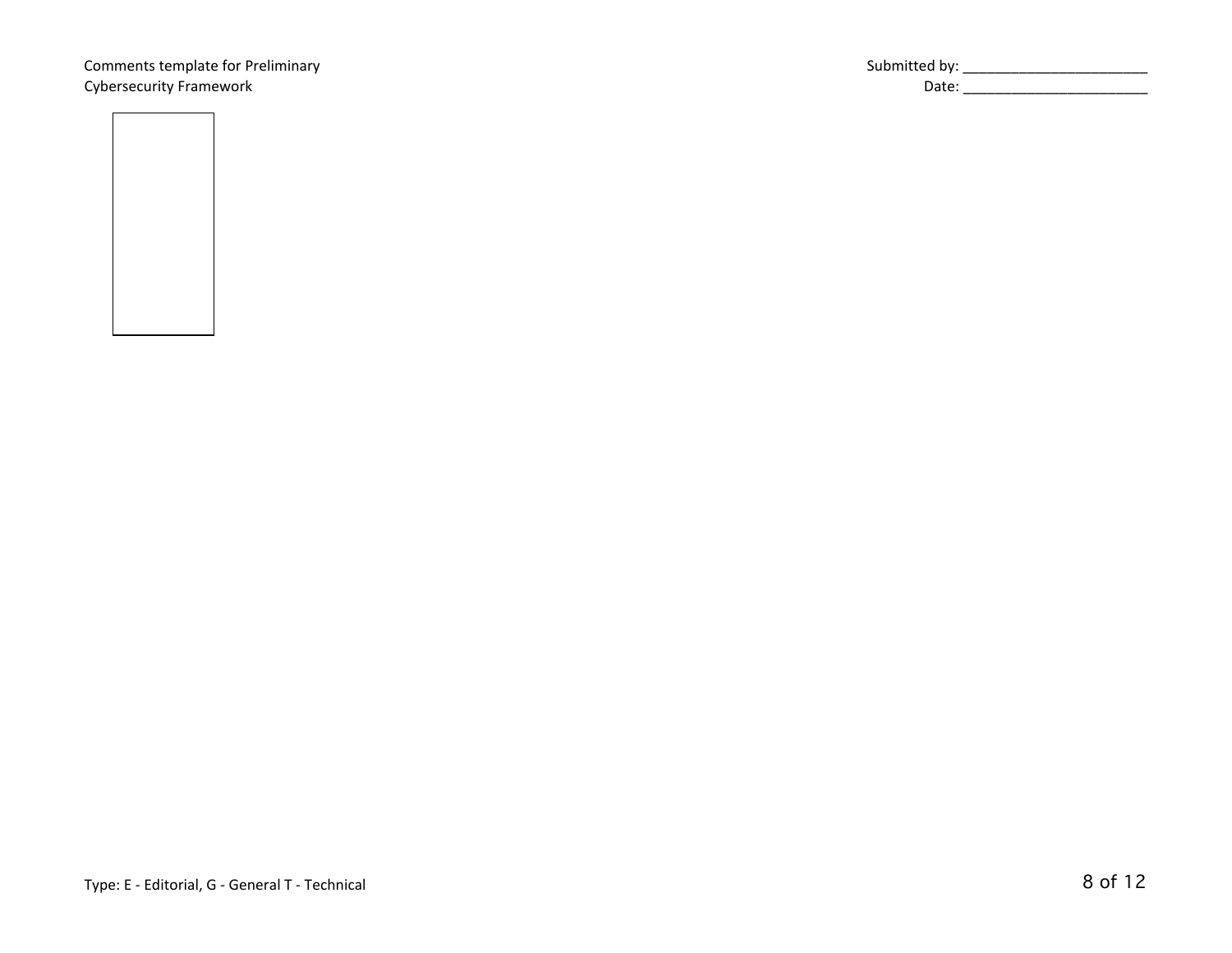Cybersecurity Framework and the control of the control of the control of the control of the control of the control of the control of the control of the control of the control of the control of the control of the control of

Comments template for Preliminary North Comments template for Preliminary Submitted by: \_\_\_\_\_\_\_\_\_\_\_\_\_\_\_\_\_\_\_\_\_\_\_\_\_\_\_\_\_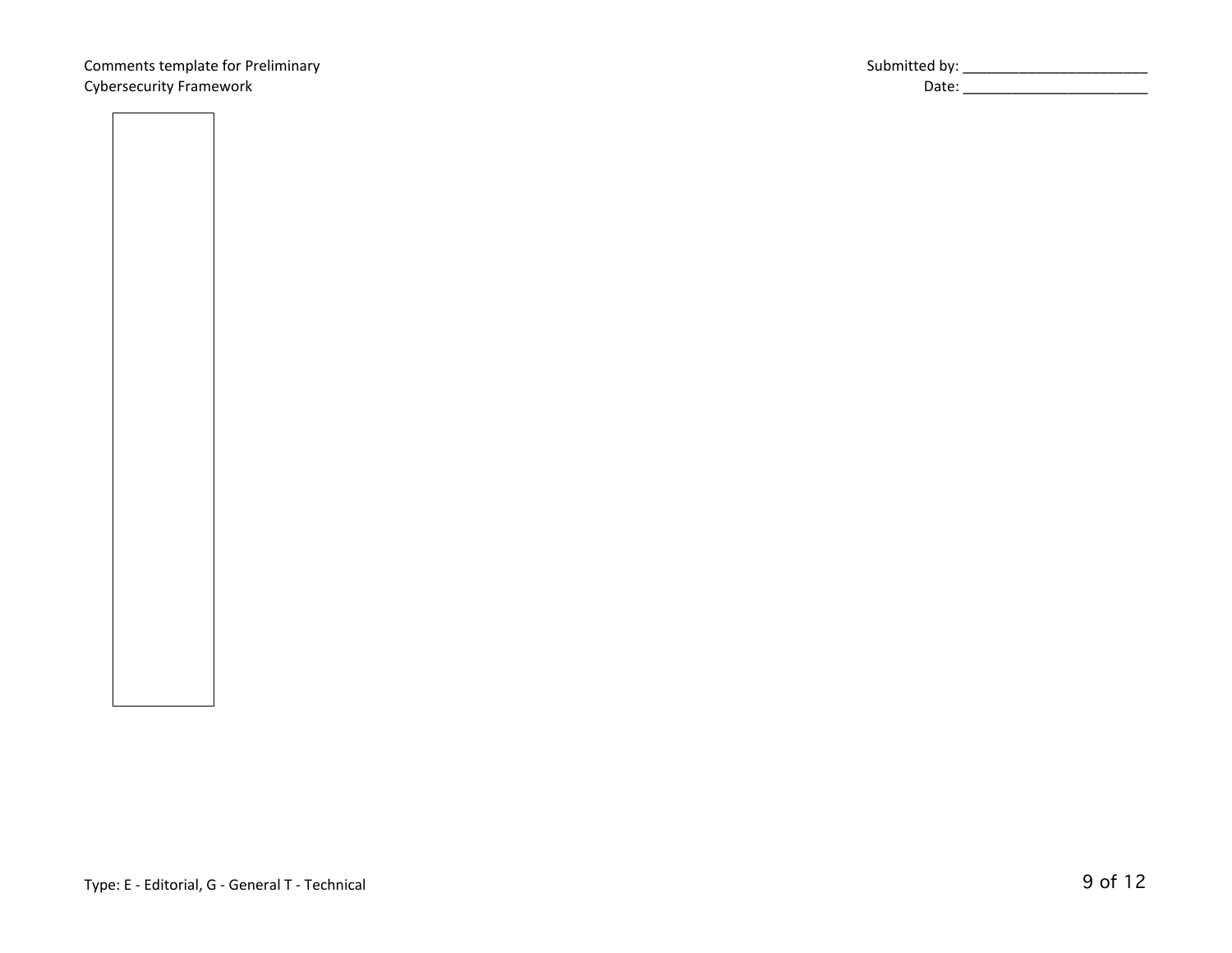Comments template for Preliminary Submitted by: \_\_\_\_\_\_\_\_\_\_\_\_\_\_\_\_\_\_\_\_\_\_\_

| Submitted by: |  |
|---------------|--|
| Date:         |  |

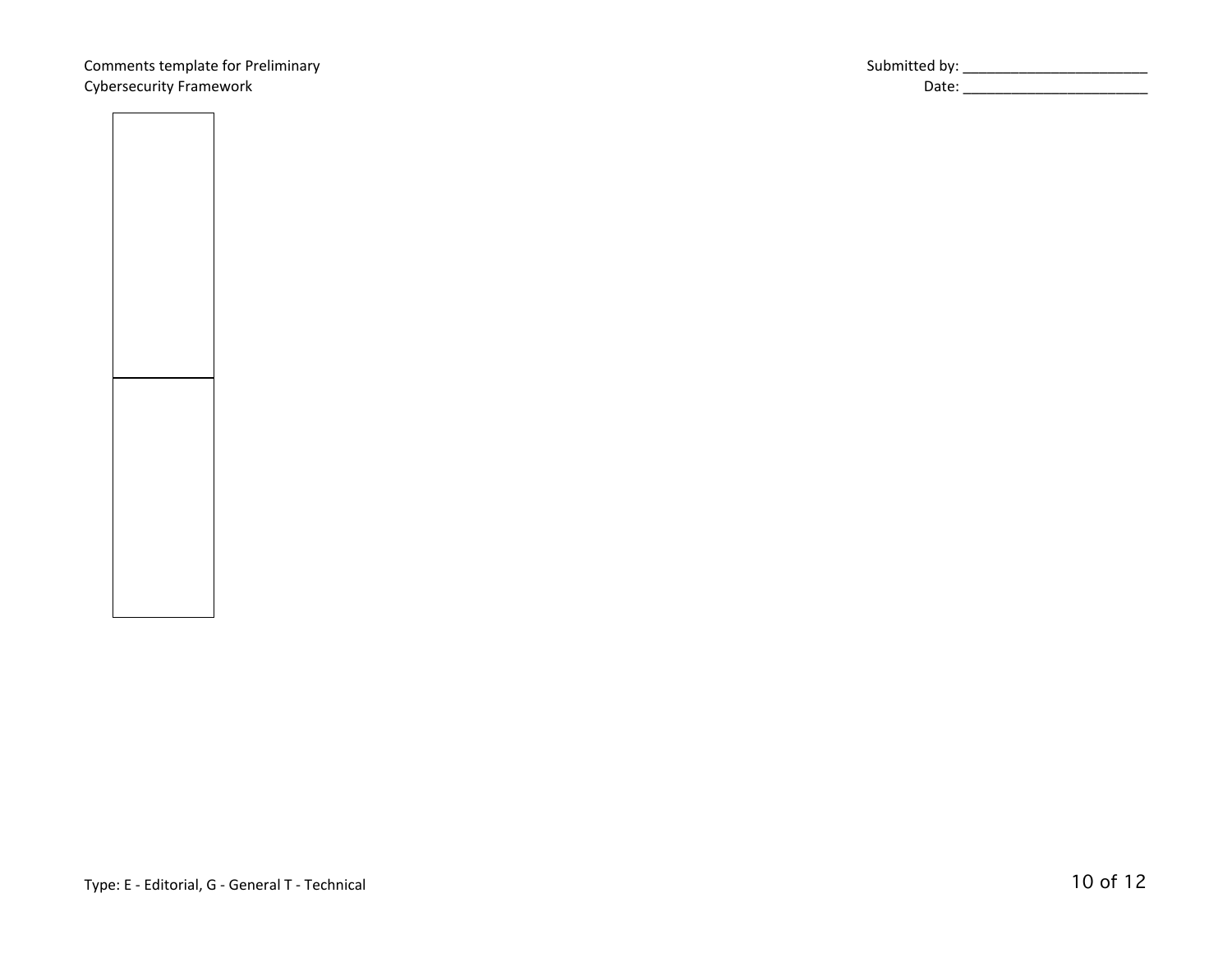Comments template for Preliminary Submitted by: \_\_\_\_\_\_\_\_\_\_\_\_\_\_\_\_\_\_\_\_\_\_\_

| Submitted by: |  |
|---------------|--|
| Date:         |  |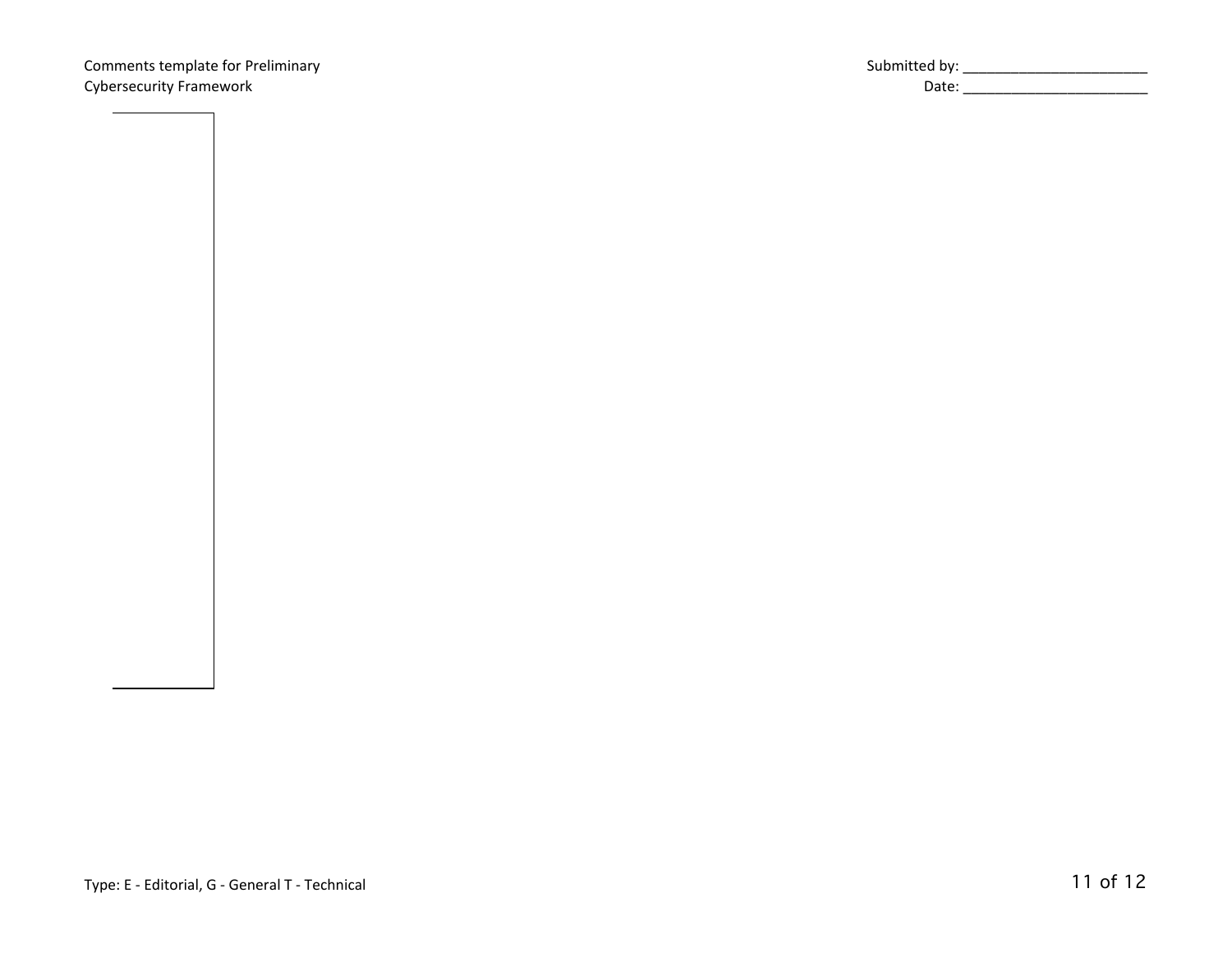Cybersecurity Framework **Example 20** and the contract of the Date: <u>Date:</u> 20 and Date:

| Comments template for Preliminary | submitted<br>. bv |
|-----------------------------------|-------------------|
|                                   |                   |